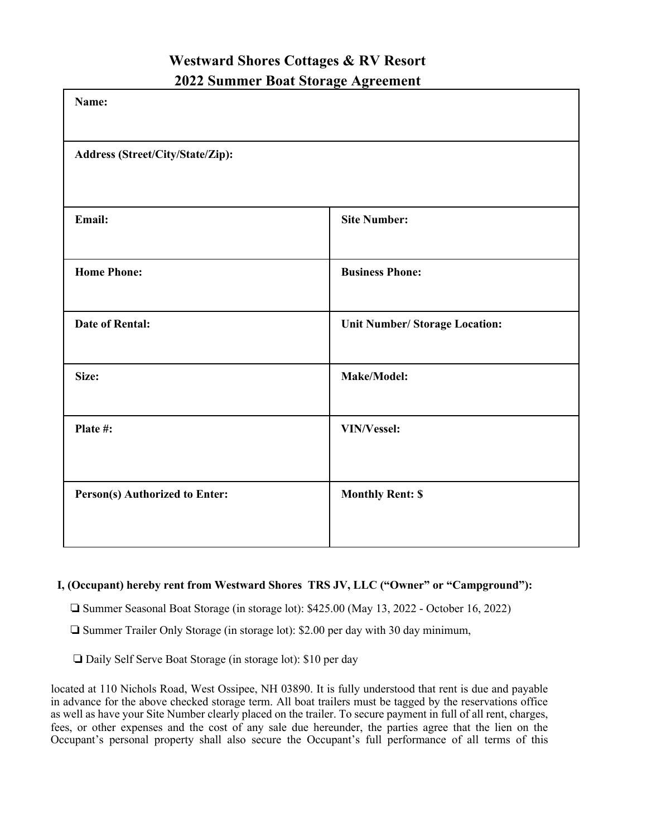# **Westward Shores Cottages & RV Resort 2022 Summer Boat Storage Agreement**

| Name:                                 |                                       |
|---------------------------------------|---------------------------------------|
| Address (Street/City/State/Zip):      |                                       |
| Email:                                | <b>Site Number:</b>                   |
| <b>Home Phone:</b>                    | <b>Business Phone:</b>                |
| <b>Date of Rental:</b>                | <b>Unit Number/ Storage Location:</b> |
| Size:                                 | Make/Model:                           |
| Plate #:                              | <b>VIN/Vessel:</b>                    |
| <b>Person(s) Authorized to Enter:</b> | <b>Monthly Rent: \$</b>               |

## **I, (Occupant) hereby rent from Westward Shores TRS JV, LLC ("Owner" or "Campground"):**

! Summer Seasonal Boat Storage (in storage lot): \$425.00 (May 13, 2022 - October 16, 2022)

! Summer Trailer Only Storage (in storage lot): \$2.00 per day with 30 day minimum,

□ Daily Self Serve Boat Storage (in storage lot): \$10 per day

located at 110 Nichols Road, West Ossipee, NH 03890. It is fully understood that rent is due and payable in advance for the above checked storage term. All boat trailers must be tagged by the reservations office as well as have your Site Number clearly placed on the trailer. To secure payment in full of all rent, charges, fees, or other expenses and the cost of any sale due hereunder, the parties agree that the lien on the Occupant's personal property shall also secure the Occupant's full performance of all terms of this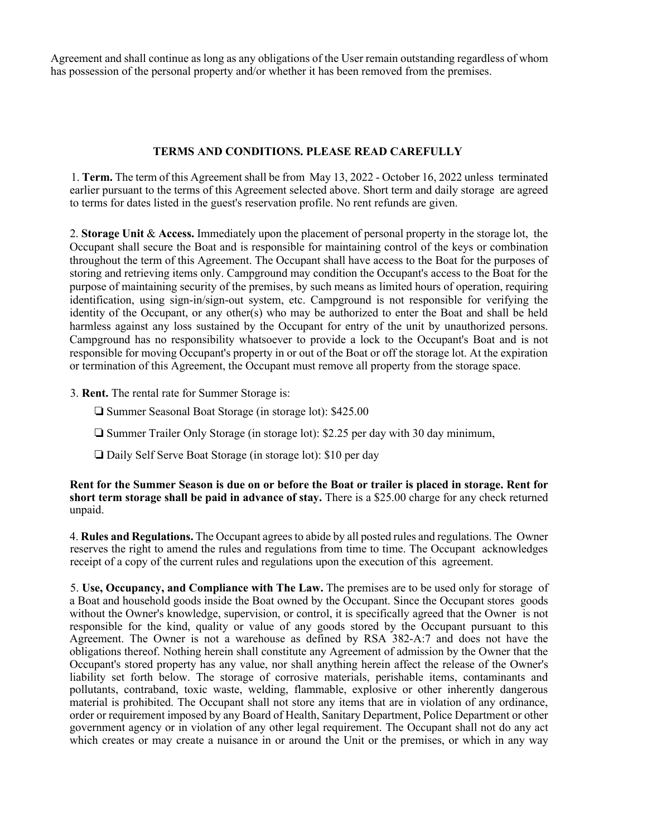Agreement and shall continue as long as any obligations of the User remain outstanding regardless of whom has possession of the personal property and/or whether it has been removed from the premises.

#### **TERMS AND CONDITIONS. PLEASE READ CAREFULLY**

1. **Term.** The term of this Agreement shall be from May 13, 2022 - October 16, 2022 unless terminated earlier pursuant to the terms of this Agreement selected above. Short term and daily storage are agreed to terms for dates listed in the guest's reservation profile. No rent refunds are given.

2. **Storage Unit** & **Access.** Immediately upon the placement of personal property in the storage lot, the Occupant shall secure the Boat and is responsible for maintaining control of the keys or combination throughout the term of this Agreement. The Occupant shall have access to the Boat for the purposes of storing and retrieving items only. Campground may condition the Occupant's access to the Boat for the purpose of maintaining security of the premises, by such means as limited hours of operation, requiring identification, using sign-in/sign-out system, etc. Campground is not responsible for verifying the identity of the Occupant, or any other(s) who may be authorized to enter the Boat and shall be held harmless against any loss sustained by the Occupant for entry of the unit by unauthorized persons. Campground has no responsibility whatsoever to provide a lock to the Occupant's Boat and is not responsible for moving Occupant's property in or out of the Boat or off the storage lot. At the expiration or termination of this Agreement, the Occupant must remove all property from the storage space.

- 3. **Rent.** The rental rate for Summer Storage is:
	- □ Summer Seasonal Boat Storage (in storage lot): \$425.00
	- $\Box$  Summer Trailer Only Storage (in storage lot): \$2.25 per day with 30 day minimum,
	- □ Daily Self Serve Boat Storage (in storage lot): \$10 per day

#### **Rent for the Summer Season is due on or before the Boat or trailer is placed in storage. Rent for short term storage shall be paid in advance of stay.** There is a \$25.00 charge for any check returned unpaid.

4. **Rules and Regulations.** The Occupant agrees to abide by all posted rules and regulations. The Owner reserves the right to amend the rules and regulations from time to time. The Occupant acknowledges receipt of a copy of the current rules and regulations upon the execution of this agreement.

5. **Use, Occupancy, and Compliance with The Law.** The premises are to be used only for storage of a Boat and household goods inside the Boat owned by the Occupant. Since the Occupant stores goods without the Owner's knowledge, supervision, or control, it is specifically agreed that the Owner is not responsible for the kind, quality or value of any goods stored by the Occupant pursuant to this Agreement. The Owner is not a warehouse as defined by RSA 382-A:7 and does not have the obligations thereof. Nothing herein shall constitute any Agreement of admission by the Owner that the Occupant's stored property has any value, nor shall anything herein affect the release of the Owner's liability set forth below. The storage of corrosive materials, perishable items, contaminants and pollutants, contraband, toxic waste, welding, flammable, explosive or other inherently dangerous material is prohibited. The Occupant shall not store any items that are in violation of any ordinance, order or requirement imposed by any Board of Health, Sanitary Department, Police Department or other government agency or in violation of any other legal requirement. The Occupant shall not do any act which creates or may create a nuisance in or around the Unit or the premises, or which in any way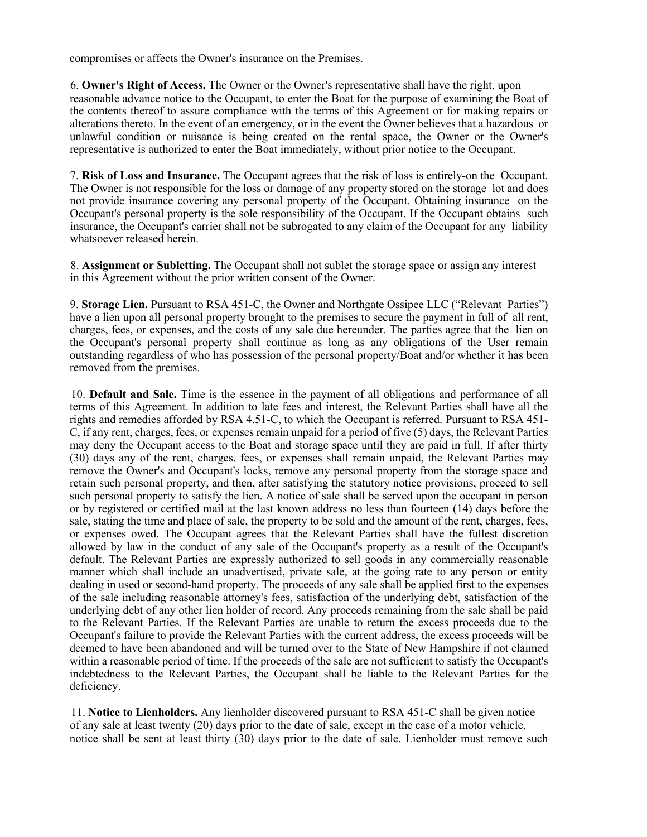compromises or affects the Owner's insurance on the Premises.

6. **Owner's Right of Access.** The Owner or the Owner's representative shall have the right, upon reasonable advance notice to the Occupant, to enter the Boat for the purpose of examining the Boat of the contents thereof to assure compliance with the terms of this Agreement or for making repairs or alterations thereto. In the event of an emergency, or in the event the Owner believes that a hazardous or unlawful condition or nuisance is being created on the rental space, the Owner or the Owner's representative is authorized to enter the Boat immediately, without prior notice to the Occupant.

7. **Risk of Loss and Insurance.** The Occupant agrees that the risk of loss is entirely-on the Occupant. The Owner is not responsible for the loss or damage of any property stored on the storage lot and does not provide insurance covering any personal property of the Occupant. Obtaining insurance on the Occupant's personal property is the sole responsibility of the Occupant. If the Occupant obtains such insurance, the Occupant's carrier shall not be subrogated to any claim of the Occupant for any liability whatsoever released herein.

8. **Assignment or Subletting.** The Occupant shall not sublet the storage space or assign any interest in this Agreement without the prior written consent of the Owner.

9. **Storage Lien.** Pursuant to RSA 451-C, the Owner and Northgate Ossipee LLC ("Relevant Parties") have a lien upon all personal property brought to the premises to secure the payment in full of all rent, charges, fees, or expenses, and the costs of any sale due hereunder. The parties agree that the lien on the Occupant's personal property shall continue as long as any obligations of the User remain outstanding regardless of who has possession of the personal property/Boat and/or whether it has been removed from the premises.

10. **Default and Sale.** Time is the essence in the payment of all obligations and performance of all terms of this Agreement. In addition to late fees and interest, the Relevant Parties shall have all the rights and remedies afforded by RSA 4.51-C, to which the Occupant is referred. Pursuant to RSA 451- C, if any rent, charges, fees, or expenses remain unpaid for a period of five (5) days, the Relevant Parties may deny the Occupant access to the Boat and storage space until they are paid in full. If after thirty (30) days any of the rent, charges, fees, or expenses shall remain unpaid, the Relevant Parties may remove the Owner's and Occupant's locks, remove any personal property from the storage space and retain such personal property, and then, after satisfying the statutory notice provisions, proceed to sell such personal property to satisfy the lien. A notice of sale shall be served upon the occupant in person or by registered or certified mail at the last known address no less than fourteen (14) days before the sale, stating the time and place of sale, the property to be sold and the amount of the rent, charges, fees, or expenses owed. The Occupant agrees that the Relevant Parties shall have the fullest discretion allowed by law in the conduct of any sale of the Occupant's property as a result of the Occupant's default. The Relevant Parties are expressly authorized to sell goods in any commercially reasonable manner which shall include an unadvertised, private sale, at the going rate to any person or entity dealing in used or second-hand property. The proceeds of any sale shall be applied first to the expenses of the sale including reasonable attorney's fees, satisfaction of the underlying debt, satisfaction of the underlying debt of any other lien holder of record. Any proceeds remaining from the sale shall be paid to the Relevant Parties. If the Relevant Parties are unable to return the excess proceeds due to the Occupant's failure to provide the Relevant Parties with the current address, the excess proceeds will be deemed to have been abandoned and will be turned over to the State of New Hampshire if not claimed within a reasonable period of time. If the proceeds of the sale are not sufficient to satisfy the Occupant's indebtedness to the Relevant Parties, the Occupant shall be liable to the Relevant Parties for the deficiency.

11. **Notice to Lienholders.** Any lienholder discovered pursuant to RSA 451-C shall be given notice of any sale at least twenty (20) days prior to the date of sale, except in the case of a motor vehicle, notice shall be sent at least thirty (30) days prior to the date of sale. Lienholder must remove such